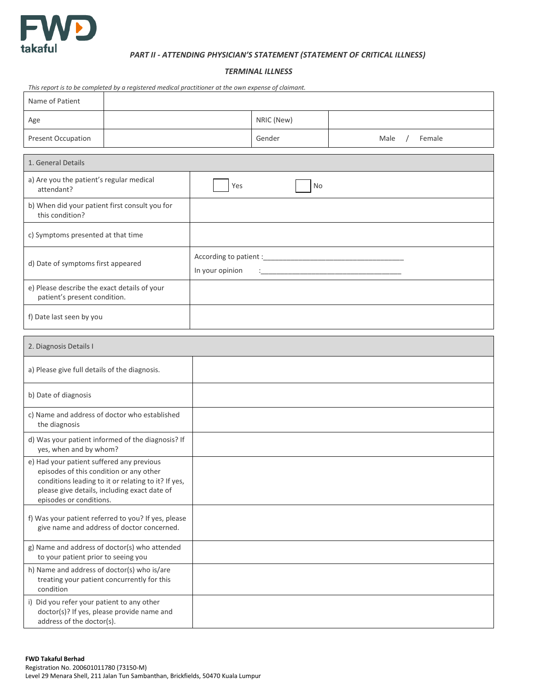

## *PART II - ATTENDING PHYSICIAN'S STATEMENT (STATEMENT OF CRITICAL ILLNESS)*

## *TERMINAL ILLNESS*

| This report is to be completed by a registered medical practitioner at the own expense of claimant.                                                                                                                    |  |                 |            |                                                                   |        |  |
|------------------------------------------------------------------------------------------------------------------------------------------------------------------------------------------------------------------------|--|-----------------|------------|-------------------------------------------------------------------|--------|--|
| Name of Patient                                                                                                                                                                                                        |  |                 |            |                                                                   |        |  |
| Age                                                                                                                                                                                                                    |  |                 | NRIC (New) |                                                                   |        |  |
| <b>Present Occupation</b>                                                                                                                                                                                              |  |                 | Gender     | Male                                                              | Female |  |
| 1. General Details                                                                                                                                                                                                     |  |                 |            |                                                                   |        |  |
| a) Are you the patient's regular medical<br>attendant?                                                                                                                                                                 |  | Yes             | No         |                                                                   |        |  |
| b) When did your patient first consult you for<br>this condition?                                                                                                                                                      |  |                 |            |                                                                   |        |  |
| c) Symptoms presented at that time                                                                                                                                                                                     |  |                 |            |                                                                   |        |  |
| d) Date of symptoms first appeared                                                                                                                                                                                     |  | In your opinion |            | <u> 1980 - Johann John Stone, mars eta biztanleria (h. 1980).</u> |        |  |
| e) Please describe the exact details of your<br>patient's present condition.                                                                                                                                           |  |                 |            |                                                                   |        |  |
| f) Date last seen by you                                                                                                                                                                                               |  |                 |            |                                                                   |        |  |
| 2. Diagnosis Details I                                                                                                                                                                                                 |  |                 |            |                                                                   |        |  |
| a) Please give full details of the diagnosis.                                                                                                                                                                          |  |                 |            |                                                                   |        |  |
| b) Date of diagnosis                                                                                                                                                                                                   |  |                 |            |                                                                   |        |  |
| c) Name and address of doctor who established<br>the diagnosis                                                                                                                                                         |  |                 |            |                                                                   |        |  |
| d) Was your patient informed of the diagnosis? If<br>yes, when and by whom?                                                                                                                                            |  |                 |            |                                                                   |        |  |
| e) Had your patient suffered any previous<br>episodes of this condition or any other<br>conditions leading to it or relating to it? If yes,<br>please give details, including exact date of<br>episodes or conditions. |  |                 |            |                                                                   |        |  |
| f) Was your patient referred to you? If yes, please<br>give name and address of doctor concerned.                                                                                                                      |  |                 |            |                                                                   |        |  |
| g) Name and address of doctor(s) who attended<br>to your patient prior to seeing you                                                                                                                                   |  |                 |            |                                                                   |        |  |
| h) Name and address of doctor(s) who is/are<br>treating your patient concurrently for this<br>condition                                                                                                                |  |                 |            |                                                                   |        |  |
| i) Did you refer your patient to any other<br>doctor(s)? If yes, please provide name and<br>address of the doctor(s).                                                                                                  |  |                 |            |                                                                   |        |  |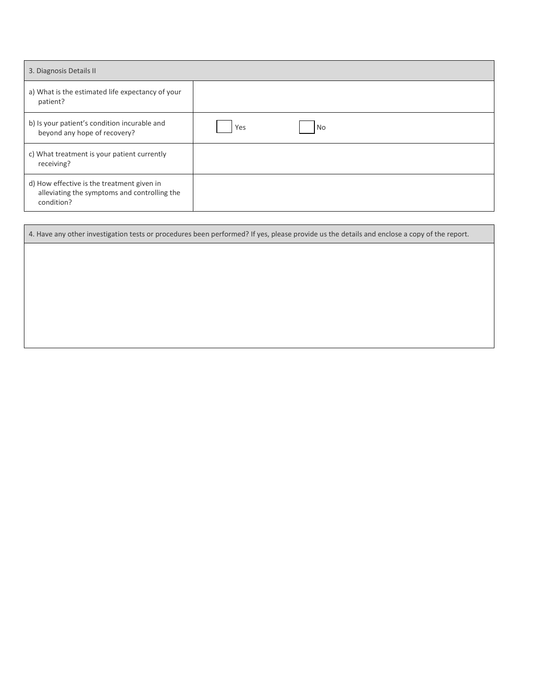| 3. Diagnosis Details II                                                                                  |           |  |  |  |  |
|----------------------------------------------------------------------------------------------------------|-----------|--|--|--|--|
| a) What is the estimated life expectancy of your<br>patient?                                             |           |  |  |  |  |
| b) Is your patient's condition incurable and<br>beyond any hope of recovery?                             | No<br>Yes |  |  |  |  |
| c) What treatment is your patient currently<br>receiving?                                                |           |  |  |  |  |
| d) How effective is the treatment given in<br>alleviating the symptoms and controlling the<br>condition? |           |  |  |  |  |

| 4. Have any other investigation tests or procedures been performed? If yes, please provide us the details and enclose a copy of the report. |  |  |  |  |  |  |  |
|---------------------------------------------------------------------------------------------------------------------------------------------|--|--|--|--|--|--|--|
|                                                                                                                                             |  |  |  |  |  |  |  |
|                                                                                                                                             |  |  |  |  |  |  |  |
|                                                                                                                                             |  |  |  |  |  |  |  |
|                                                                                                                                             |  |  |  |  |  |  |  |
|                                                                                                                                             |  |  |  |  |  |  |  |
|                                                                                                                                             |  |  |  |  |  |  |  |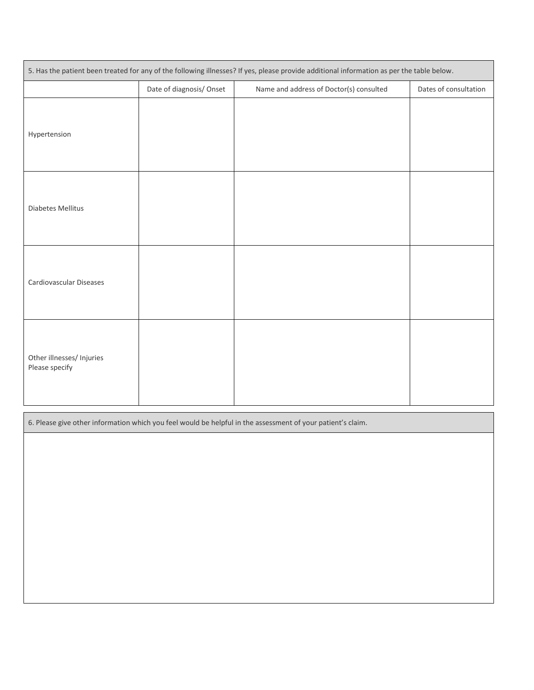| 5. Has the patient been treated for any of the following illnesses? If yes, please provide additional information as per the table below. |                         |                                         |                       |  |  |  |
|-------------------------------------------------------------------------------------------------------------------------------------------|-------------------------|-----------------------------------------|-----------------------|--|--|--|
|                                                                                                                                           | Date of diagnosis/Onset | Name and address of Doctor(s) consulted | Dates of consultation |  |  |  |
| Hypertension                                                                                                                              |                         |                                         |                       |  |  |  |
| Diabetes Mellitus                                                                                                                         |                         |                                         |                       |  |  |  |
| Cardiovascular Diseases                                                                                                                   |                         |                                         |                       |  |  |  |
| Other illnesses/ Injuries<br>Please specify                                                                                               |                         |                                         |                       |  |  |  |

6. Please give other information which you feel would be helpful in the assessment of your patient's claim.